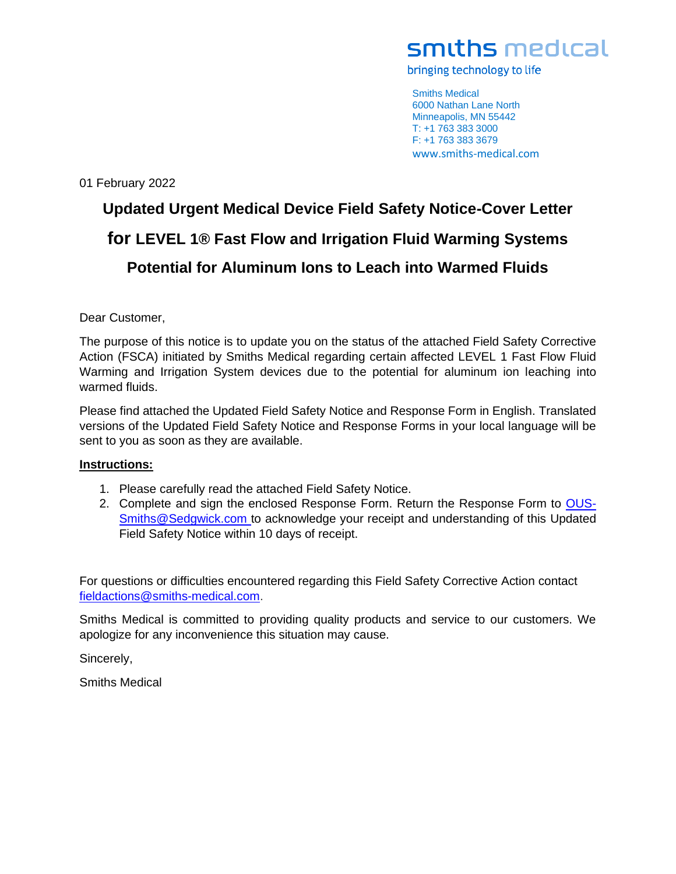bringing technology to life

Smiths Medical 6000 Nathan Lane North Minneapolis, MN 55442 T: +1 763 383 3000 F: +1 763 383 3679 www.smiths-medical.com

01 February 2022

# **Updated Urgent Medical Device Field Safety Notice-Cover Letter for LEVEL 1® Fast Flow and Irrigation Fluid Warming Systems Potential for Aluminum Ions to Leach into Warmed Fluids**

Dear Customer,

The purpose of this notice is to update you on the status of the attached Field Safety Corrective Action (FSCA) initiated by Smiths Medical regarding certain affected LEVEL 1 Fast Flow Fluid Warming and Irrigation System devices due to the potential for aluminum ion leaching into warmed fluids.

Please find attached the Updated Field Safety Notice and Response Form in English. Translated versions of the Updated Field Safety Notice and Response Forms in your local language will be sent to you as soon as they are available.

#### **Instructions:**

- 1. Please carefully read the attached Field Safety Notice.
- 2. Complete and sign the enclosed Response Form. Return the Response Form to [OUS-](mailto:OUS-Smiths@Sedgwick.com)[Smiths@Sedgwick.com t](mailto:OUS-Smiths@Sedgwick.com)o acknowledge your receipt and understanding of this Updated Field Safety Notice within 10 days of receipt.

For questions or difficulties encountered regarding this Field Safety Corrective Action contact [fieldactions@smiths-medical.com.](mailto:fieldactions@smiths-medical.com)

Smiths Medical is committed to providing quality products and service to our customers. We apologize for any inconvenience this situation may cause.

Sincerely,

Smiths Medical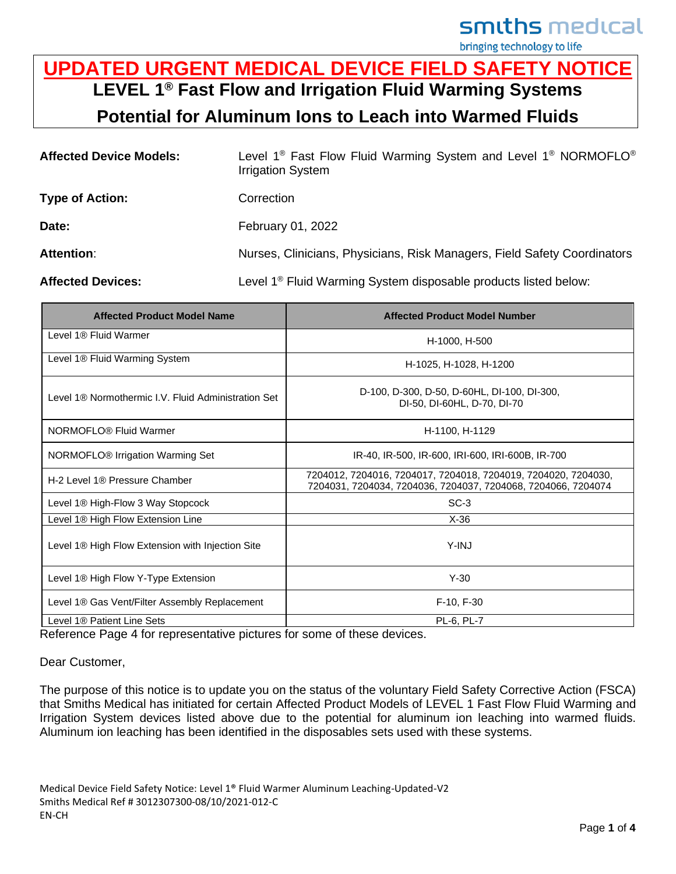bringing technology to life

### **UPDATED URGENT MEDICAL DEVICE FIELD SAFETY NOTICE LEVEL 1® Fast Flow and Irrigation Fluid Warming Systems Potential for Aluminum Ions to Leach into Warmed Fluids**

| <b>Affected Device Models:</b> | Level 1 <sup>®</sup> Fast Flow Fluid Warming System and Level 1 <sup>®</sup> NORMOFLO <sup>®</sup><br><b>Irrigation System</b> |  |
|--------------------------------|--------------------------------------------------------------------------------------------------------------------------------|--|
| <b>Type of Action:</b>         | Correction                                                                                                                     |  |
| Date:                          | February 01, 2022                                                                                                              |  |
| <b>Attention:</b>              | Nurses, Clinicians, Physicians, Risk Managers, Field Safety Coordinators                                                       |  |
| <b>Affected Devices:</b>       | Level 1 <sup>®</sup> Fluid Warming System disposable products listed below:                                                    |  |

| <b>Affected Product Model Name</b>                           | <b>Affected Product Model Number</b>                                                                                            |  |  |
|--------------------------------------------------------------|---------------------------------------------------------------------------------------------------------------------------------|--|--|
| Level 1® Fluid Warmer                                        | H-1000, H-500                                                                                                                   |  |  |
| Level 1 <sup>®</sup> Fluid Warming System                    | H-1025, H-1028, H-1200                                                                                                          |  |  |
| Level 1® Normothermic LV. Fluid Administration Set           | D-100, D-300, D-50, D-60HL, DI-100, DI-300,<br>DI-50, DI-60HL, D-70, DI-70                                                      |  |  |
| NORMOFLO® Fluid Warmer                                       | H-1100, H-1129                                                                                                                  |  |  |
| NORMOFLO <sup>®</sup> Irrigation Warming Set                 | IR-40, IR-500, IR-600, IRI-600, IRI-600B, IR-700                                                                                |  |  |
| H-2 Level 1® Pressure Chamber                                | 7204012, 7204016, 7204017, 7204018, 7204019, 7204020, 7204030,<br>7204031, 7204034, 7204036, 7204037, 7204068, 7204066, 7204074 |  |  |
| Level 1® High-Flow 3 Way Stopcock                            | $SC-3$                                                                                                                          |  |  |
| Level 1® High Flow Extension Line                            | $X-36$                                                                                                                          |  |  |
| Level 1 <sup>®</sup> High Flow Extension with Injection Site | $Y$ -IN.J                                                                                                                       |  |  |
| Level 1 <sup>®</sup> High Flow Y-Type Extension              | $Y-30$                                                                                                                          |  |  |
| Level 1 <sup>®</sup> Gas Vent/Filter Assembly Replacement    | F-10, F-30                                                                                                                      |  |  |
| Level 1® Patient Line Sets                                   | PL-6, PL-7                                                                                                                      |  |  |

Reference Page 4 for representative pictures for some of these devices.

Dear Customer,

The purpose of this notice is to update you on the status of the voluntary Field Safety Corrective Action (FSCA) that Smiths Medical has initiated for certain Affected Product Models of LEVEL 1 Fast Flow Fluid Warming and Irrigation System devices listed above due to the potential for aluminum ion leaching into warmed fluids. Aluminum ion leaching has been identified in the disposables sets used with these systems.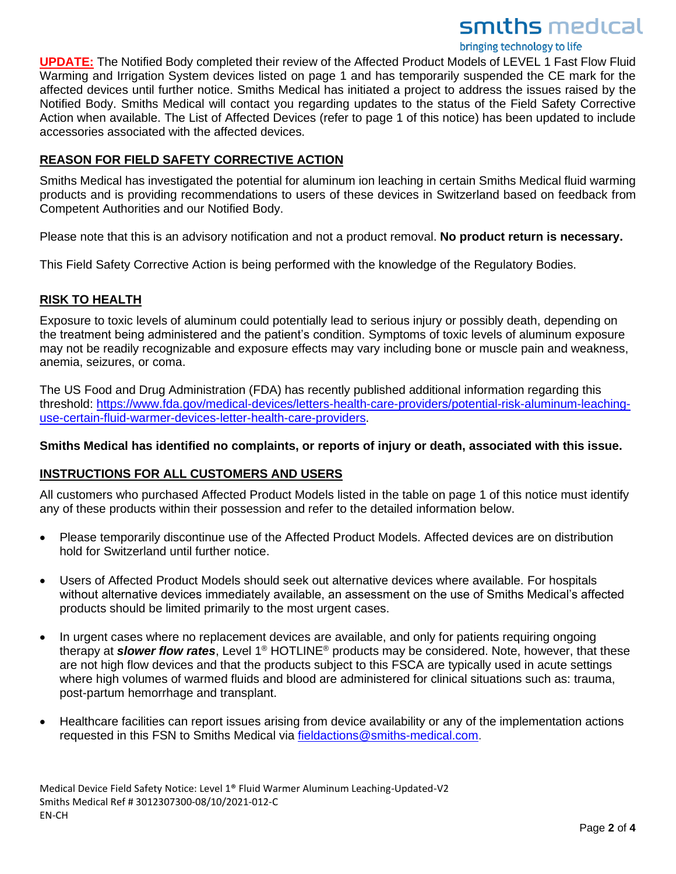bringing technology to life

**UPDATE:** The Notified Body completed their review of the Affected Product Models of LEVEL 1 Fast Flow Fluid Warming and Irrigation System devices listed on page 1 and has temporarily suspended the CE mark for the affected devices until further notice. Smiths Medical has initiated a project to address the issues raised by the Notified Body. Smiths Medical will contact you regarding updates to the status of the Field Safety Corrective Action when available. The List of Affected Devices (refer to page 1 of this notice) has been updated to include accessories associated with the affected devices.

#### **REASON FOR FIELD SAFETY CORRECTIVE ACTION**

Smiths Medical has investigated the potential for aluminum ion leaching in certain Smiths Medical fluid warming products and is providing recommendations to users of these devices in Switzerland based on feedback from Competent Authorities and our Notified Body.

Please note that this is an advisory notification and not a product removal. **No product return is necessary.**

This Field Safety Corrective Action is being performed with the knowledge of the Regulatory Bodies.

#### **RISK TO HEALTH**

Exposure to toxic levels of aluminum could potentially lead to serious injury or possibly death, depending on the treatment being administered and the patient's condition. Symptoms of toxic levels of aluminum exposure may not be readily recognizable and exposure effects may vary including bone or muscle pain and weakness, anemia, seizures, or coma.

The US Food and Drug Administration (FDA) has recently published additional information regarding this threshold: [https://www.fda.gov/medical-devices/letters-health-care-providers/potential-risk-aluminum-leaching](https://www.fda.gov/medical-devices/letters-health-care-providers/potential-risk-aluminum-leaching-use-certain-fluid-warmer-devices-letter-health-care-providers)[use-certain-fluid-warmer-devices-letter-health-care-providers.](https://www.fda.gov/medical-devices/letters-health-care-providers/potential-risk-aluminum-leaching-use-certain-fluid-warmer-devices-letter-health-care-providers)

#### **Smiths Medical has identified no complaints, or reports of injury or death, associated with this issue.**

#### **INSTRUCTIONS FOR ALL CUSTOMERS AND USERS**

All customers who purchased Affected Product Models listed in the table on page 1 of this notice must identify any of these products within their possession and refer to the detailed information below.

- Please temporarily discontinue use of the Affected Product Models. Affected devices are on distribution hold for Switzerland until further notice.
- Users of Affected Product Models should seek out alternative devices where available. For hospitals without alternative devices immediately available, an assessment on the use of Smiths Medical's affected products should be limited primarily to the most urgent cases.
- In urgent cases where no replacement devices are available, and only for patients requiring ongoing therapy at *slower flow rates*, Level 1® HOTLINE® products may be considered. Note, however, that these are not high flow devices and that the products subject to this FSCA are typically used in acute settings where high volumes of warmed fluids and blood are administered for clinical situations such as: trauma, post-partum hemorrhage and transplant.
- Healthcare facilities can report issues arising from device availability or any of the implementation actions requested in this FSN to Smiths Medical via [fieldactions@smiths-medical.com.](mailto:fieldactions@smiths-medical.com)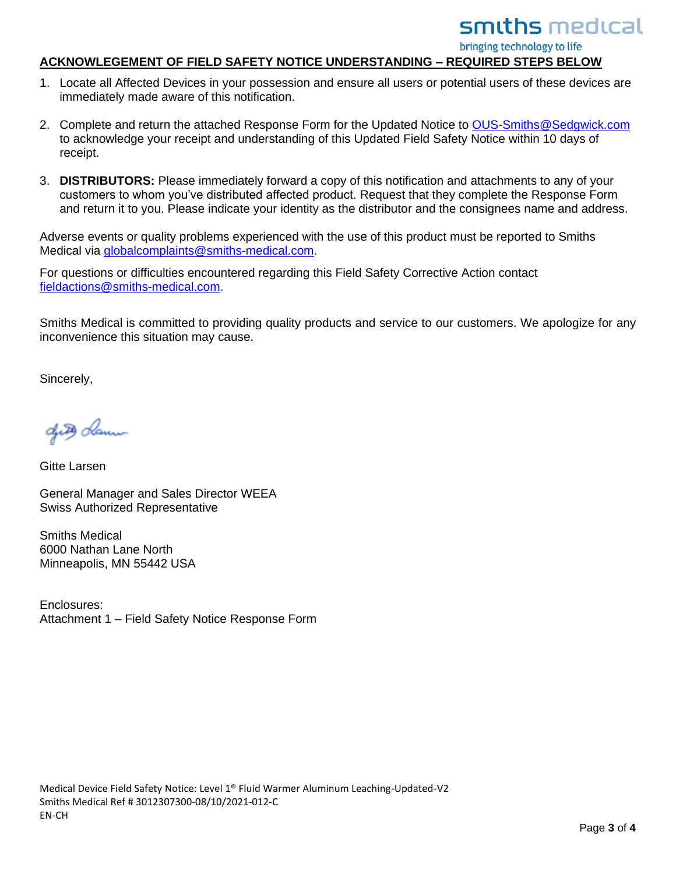bringing technology to life

#### **ACKNOWLEGEMENT OF FIELD SAFETY NOTICE UNDERSTANDING – REQUIRED STEPS BELOW**

- 1. Locate all Affected Devices in your possession and ensure all users or potential users of these devices are immediately made aware of this notification.
- 2. Complete and return the attached Response Form for the Updated Notice to [OUS-Smiths@Sedgwick.com](mailto:OUS-Smiths@Sedgwick.com) to acknowledge your receipt and understanding of this Updated Field Safety Notice within 10 days of receipt.
- 3. **DISTRIBUTORS:** Please immediately forward a copy of this notification and attachments to any of your customers to whom you've distributed affected product. Request that they complete the Response Form and return it to you. Please indicate your identity as the distributor and the consignees name and address.

Adverse events or quality problems experienced with the use of this product must be reported to Smiths Medical via [globalcomplaints@smiths-medical.com.](mailto:globalcomplaints@smiths-medical.com)

For questions or difficulties encountered regarding this Field Safety Corrective Action contact [fieldactions@smiths-medical.com.](mailto:fieldactions@smiths-medical.com)

Smiths Medical is committed to providing quality products and service to our customers. We apologize for any inconvenience this situation may cause.

Sincerely,

dutes clam

Gitte Larsen

General Manager and Sales Director WEEA Swiss Authorized Representative

Smiths Medical 6000 Nathan Lane North Minneapolis, MN 55442 USA

Enclosures: Attachment 1 – Field Safety Notice Response Form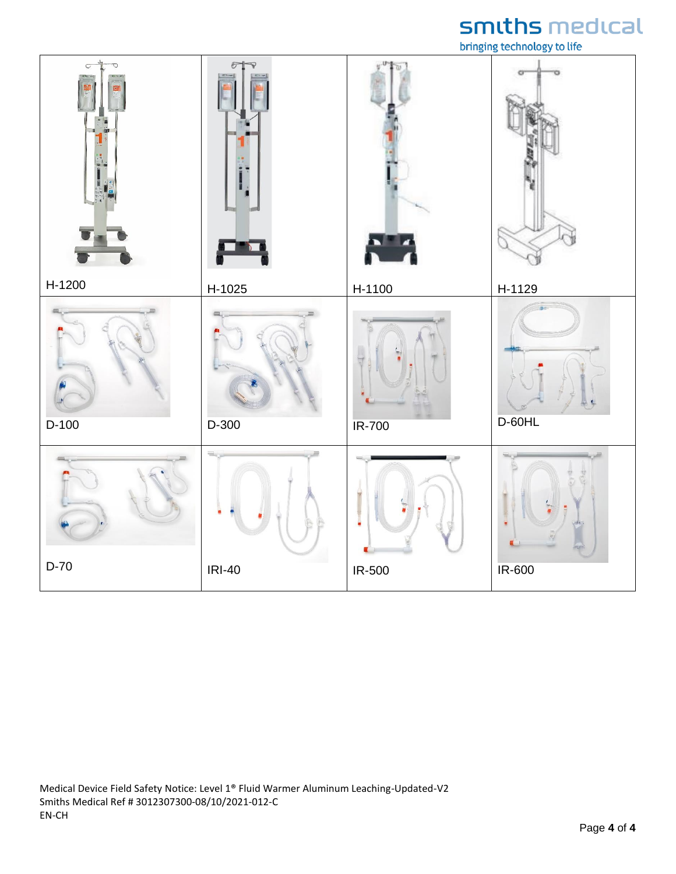bringing technology to life

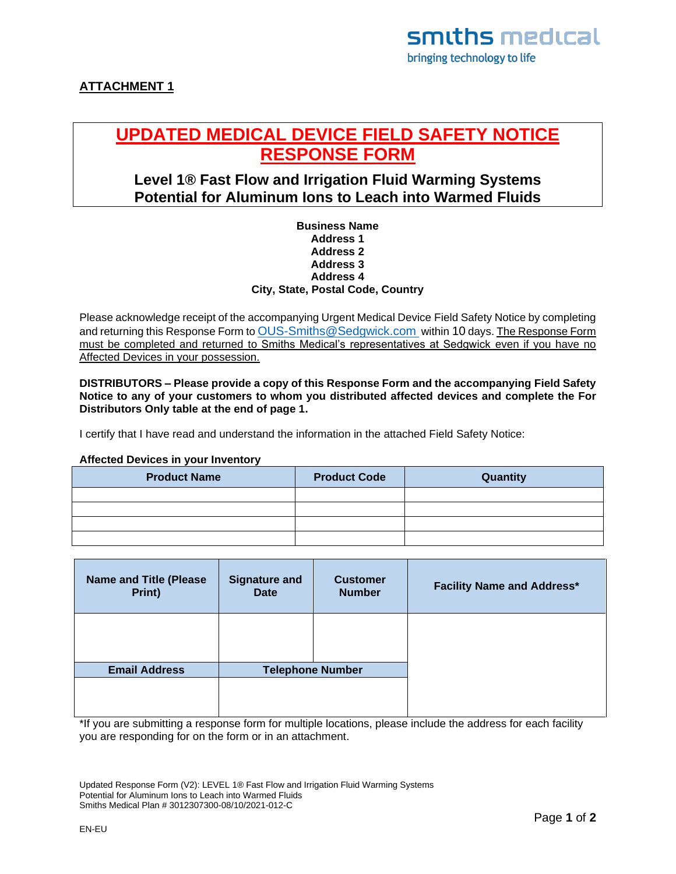#### **ATTACHMENT 1**

### **UPDATED MEDICAL DEVICE FIELD SAFETY NOTICE RESPONSE FORM**

#### **Level 1® Fast Flow and Irrigation Fluid Warming Systems Potential for Aluminum Ions to Leach into Warmed Fluids**

#### **Business Name Address 1 Address 2 Address 3 Address 4 City, State, Postal Code, Country**

Please acknowledge receipt of the accompanying Urgent Medical Device Field Safety Notice by completing and returning this Response Form to [OUS-Smiths@Sedgwick.com](mailto:OUS-Smiths@Sedgwick.com) within 10 days. The Response Form must be completed and returned to Smiths Medical's representatives at Sedgwick even if you have no Affected Devices in your possession.

**DISTRIBUTORS – Please provide a copy of this Response Form and the accompanying Field Safety Notice to any of your customers to whom you distributed affected devices and complete the For Distributors Only table at the end of page 1.**

I certify that I have read and understand the information in the attached Field Safety Notice:

#### **Affected Devices in your Inventory**

| <b>Product Name</b> | <b>Product Code</b> | Quantity |
|---------------------|---------------------|----------|
|                     |                     |          |
|                     |                     |          |
|                     |                     |          |
|                     |                     |          |

| <b>Name and Title (Please</b><br>Print) | <b>Signature and</b><br><b>Date</b> | <b>Customer</b><br><b>Number</b> | <b>Facility Name and Address*</b> |
|-----------------------------------------|-------------------------------------|----------------------------------|-----------------------------------|
|                                         |                                     |                                  |                                   |
| <b>Email Address</b>                    | <b>Telephone Number</b>             |                                  |                                   |
|                                         |                                     |                                  |                                   |

\*If you are submitting a response form for multiple locations, please include the address for each facility you are responding for on the form or in an attachment.

Updated Response Form (V2): LEVEL 1® Fast Flow and Irrigation Fluid Warming Systems Potential for Aluminum Ions to Leach into Warmed Fluids Smiths Medical Plan # 3012307300-08/10/2021-012-C